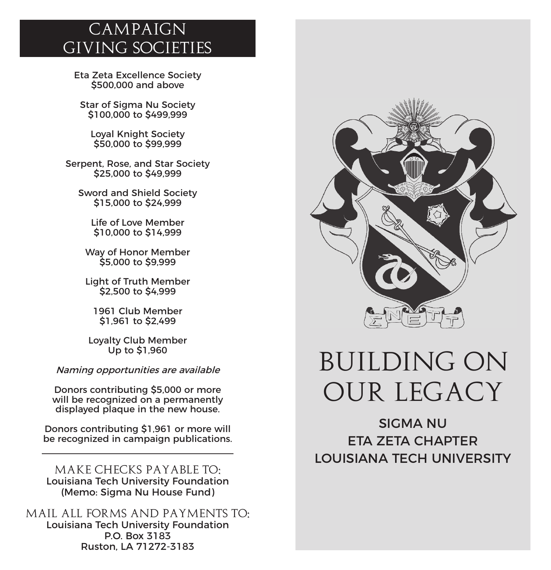### *Campaign Giving Societies*

Eta Zeta Excellence Society \$500,000 and above

Star of Sigma Nu Society \$100,000 to \$499,999

Loyal Knight Society \$50,000 to \$99,999

Serpent, Rose, and Star Society \$25,000 to \$49,999

Sword and Shield Society \$15,000 to \$24,999

> Life of Love Member \$10,000 to \$14,999

Way of Honor Member \$5,000 to \$9,999

Light of Truth Member \$2,500 to \$4,999

1961 Club Member \$1,961 to \$2,499

Loyalty Club Member Up to \$1,960

Naming opportunities are available

Donors contributing \$5,000 or more will be recognized on a permanently displayed plaque in the new house.

Donors contributing \$1,961 or more will be recognized in campaign publications.

*MAKE CHECKS PAYABLE TO:* Louisiana Tech University Foundation (Memo: Sigma Nu House Fund)

*MAIL ALL FORMS AND PAYMENTS TO:* Louisiana Tech University Foundation P.O. Box 3183 Ruston, LA 71272-3183



# *BUILDING ON OUR LEGACY*

SIGMA NU ETA ZETA CHAPTER LOUISIANA TECH UNIVERSITY